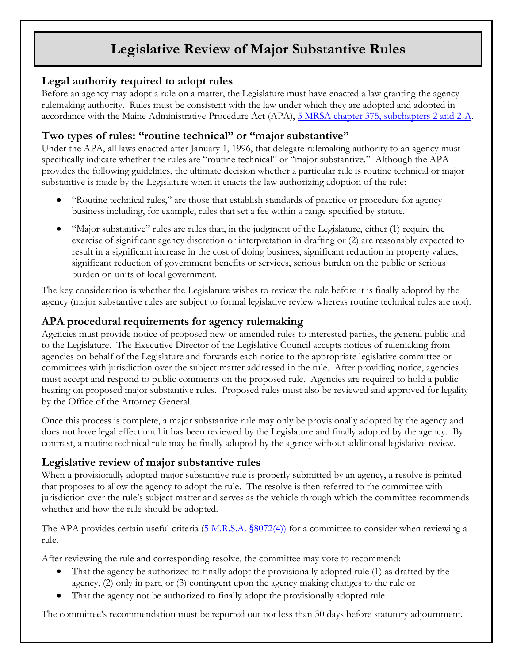# **Legislative Review of Major Substantive Rules**

## **Legal authority required to adopt rules**

Before an agency may adopt a rule on a matter, the Legislature must have enacted a law granting the agency rulemaking authority. Rules must be consistent with the law under which they are adopted and adopted in accordance with the Maine Administrative Procedure Act (APA), 5 MRSA [chapter 375, subchapters 2 and 2-A.](http://legislature.maine.gov/legis/statutes/5/title5ch375sec0.html)

#### **Two types of rules: "routine technical" or "major substantive"**

Under the APA, all laws enacted after January 1, 1996, that delegate rulemaking authority to an agency must specifically indicate whether the rules are "routine technical" or "major substantive." Although the APA provides the following guidelines, the ultimate decision whether a particular rule is routine technical or major substantive is made by the Legislature when it enacts the law authorizing adoption of the rule:

- "Routine technical rules," are those that establish standards of practice or procedure for agency business including, for example, rules that set a fee within a range specified by statute.
- "Major substantive" rules are rules that, in the judgment of the Legislature, either (1) require the exercise of significant agency discretion or interpretation in drafting or (2) are reasonably expected to result in a significant increase in the cost of doing business, significant reduction in property values, significant reduction of government benefits or services, serious burden on the public or serious burden on units of local government.

The key consideration is whether the Legislature wishes to review the rule before it is finally adopted by the agency (major substantive rules are subject to formal legislative review whereas routine technical rules are not).

# **APA procedural requirements for agency rulemaking**

Agencies must provide notice of proposed new or amended rules to interested parties, the general public and to the Legislature. The Executive Director of the Legislative Council accepts notices of rulemaking from agencies on behalf of the Legislature and forwards each notice to the appropriate legislative committee or committees with jurisdiction over the subject matter addressed in the rule. After providing notice, agencies must accept and respond to public comments on the proposed rule. Agencies are required to hold a public hearing on proposed major substantive rules. Proposed rules must also be reviewed and approved for legality by the Office of the Attorney General.

Once this process is complete, a major substantive rule may only be provisionally adopted by the agency and does not have legal effect until it has been reviewed by the Legislature and finally adopted by the agency. By contrast, a routine technical rule may be finally adopted by the agency without additional legislative review.

#### **Legislative review of major substantive rules**

When a provisionally adopted major substantive rule is properly submitted by an agency, a resolve is printed that proposes to allow the agency to adopt the rule. The resolve is then referred to the committee with jurisdiction over the rule's subject matter and serves as the vehicle through which the committee recommends whether and how the rule should be adopted.

The APA provides certain useful criteria  $(5 M.R.S.A. \frac{8072(4))}{2}$  $(5 M.R.S.A. \frac{8072(4))}{2}$  for a committee to consider when reviewing a rule.

After reviewing the rule and corresponding resolve, the committee may vote to recommend:

- That the agency be authorized to finally adopt the provisionally adopted rule (1) as drafted by the agency, (2) only in part, or (3) contingent upon the agency making changes to the rule or
- That the agency not be authorized to finally adopt the provisionally adopted rule.

The committee's recommendation must be reported out not less than 30 days before statutory adjournment.